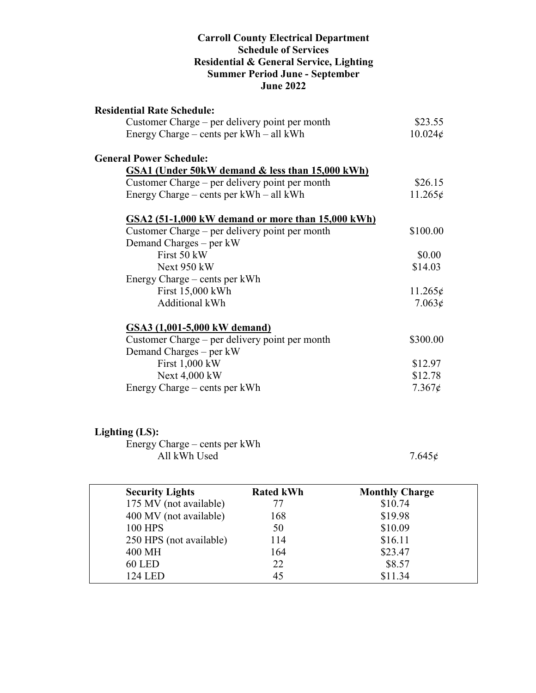#### **Carroll County Electrical Department Schedule of Services Residential & General Service, Lighting Summer Period June - September June 2022**

| <b>Residential Rate Schedule:</b>                 |                  |
|---------------------------------------------------|------------------|
| Customer Charge – per delivery point per month    | \$23.55          |
| Energy Charge – cents per $kWh - all kWh$         | $10.024\epsilon$ |
| <b>General Power Schedule:</b>                    |                  |
| GSA1 (Under 50kW demand & less than 15,000 kWh)   |                  |
| Customer Charge – per delivery point per month    | \$26.15          |
| Energy Charge – cents per $kWh - all kWh$         | 11.265¢          |
| GSA2 (51-1,000 kW demand or more than 15,000 kWh) |                  |
| Customer Charge – per delivery point per month    | \$100.00         |
| Demand Charges – per kW                           |                  |
| First 50 kW                                       | \$0.00           |
| Next 950 kW                                       | \$14.03          |
| Energy Charge – cents per kWh                     |                  |
| First 15,000 kWh                                  | $11.265\phi$     |
| <b>Additional kWh</b>                             | 7.063¢           |
| GSA3 (1,001-5,000 kW demand)                      |                  |
| Customer Charge – per delivery point per month    | \$300.00         |
| Demand Charges – per kW                           |                  |
| First 1,000 kW                                    | \$12.97          |
| Next 4,000 kW                                     | \$12.78          |
| Energy Charge – cents per kWh                     | $7.367\epsilon$  |

## **Lighting (LS):**

Energy Charge – cents per kWh All kWh Used  $7.645\phi$  7.645 $\phi$ 

| <b>Security Lights</b>  | <b>Rated kWh</b> | <b>Monthly Charge</b> |
|-------------------------|------------------|-----------------------|
| 175 MV (not available)  | 77               | \$10.74               |
| 400 MV (not available)  | 168              | \$19.98               |
| <b>100 HPS</b>          | 50               | \$10.09               |
| 250 HPS (not available) | 114              | \$16.11               |
| 400 MH                  | 164              | \$23.47               |
| <b>60 LED</b>           | 22               | \$8.57                |
| 124 LED                 | 45               | \$11.34               |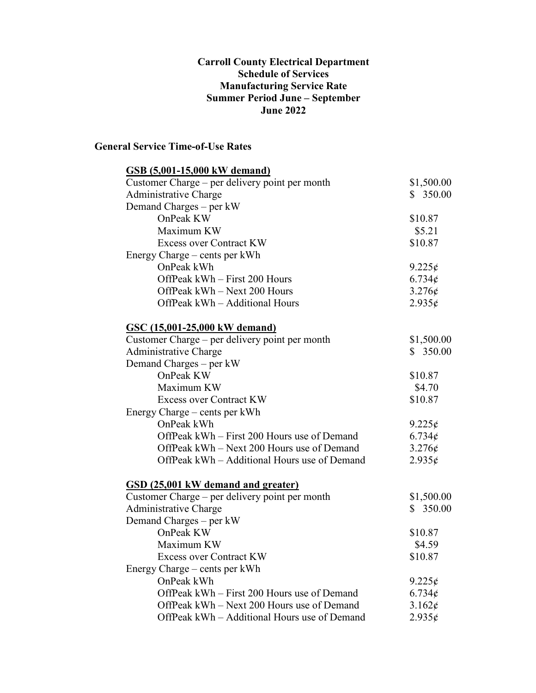#### **Carroll County Electrical Department Schedule of Services Manufacturing Service Rate Summer Period June – September June 2022**

### **General Service Time-of-Use Rates**

| <b>GSB</b> (5,001-15,000 kW demand)            |                 |
|------------------------------------------------|-----------------|
| Customer Charge – per delivery point per month | \$1,500.00      |
| Administrative Charge                          | \$350.00        |
| Demand Charges – per kW                        |                 |
| OnPeak KW                                      | \$10.87         |
| Maximum KW                                     | \$5.21          |
| <b>Excess over Contract KW</b>                 | \$10.87         |
| Energy Charge – cents per kWh                  |                 |
| OnPeak kWh                                     | $9.225\phi$     |
| OffPeak kWh – First 200 Hours                  | $6.734\epsilon$ |
| OffPeak kWh - Next 200 Hours                   | $3.276\phi$     |
| OffPeak kWh - Additional Hours                 | $2.935\epsilon$ |
| GSC (15,001-25,000 kW demand)                  |                 |
| Customer Charge – per delivery point per month | \$1,500.00      |
| <b>Administrative Charge</b>                   | \$350.00        |
| Demand Charges – per kW                        |                 |
| OnPeak KW                                      | \$10.87         |
| Maximum KW                                     | \$4.70          |
| <b>Excess over Contract KW</b>                 | \$10.87         |
| Energy Charge – cents per kWh                  |                 |
| OnPeak kWh                                     | $9.225\phi$     |
| OffPeak kWh – First 200 Hours use of Demand    | $6.734\epsilon$ |
| OffPeak kWh – Next 200 Hours use of Demand     | $3.276\phi$     |
| OffPeak kWh – Additional Hours use of Demand   | $2.935\epsilon$ |
| GSD (25,001 kW demand and greater)             |                 |
| Customer Charge – per delivery point per month | \$1,500.00      |
| <b>Administrative Charge</b>                   | \$350.00        |
| Demand Charges – per kW                        |                 |
| OnPeak KW                                      | \$10.87         |
| Maximum KW                                     | \$4.59          |
| <b>Excess over Contract KW</b>                 | \$10.87         |
| Energy Charge – cents per kWh                  |                 |
| OnPeak kWh                                     | $9.225\phi$     |
| OffPeak kWh – First 200 Hours use of Demand    | $6.734\epsilon$ |
| OffPeak kWh - Next 200 Hours use of Demand     | 3.162¢          |
| OffPeak kWh - Additional Hours use of Demand   | $2.935\epsilon$ |